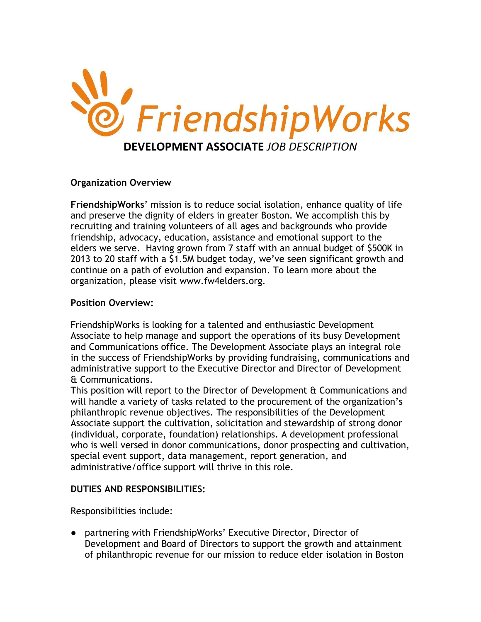

### **Organization Overview**

**FriendshipWorks**' mission is to reduce social isolation, enhance quality of life and preserve the dignity of elders in greater Boston. We accomplish this by recruiting and training volunteers of all ages and backgrounds who provide friendship, advocacy, education, assistance and emotional support to the elders we serve. Having grown from 7 staff with an annual budget of \$500K in 2013 to 20 staff with a \$1.5M budget today, we've seen significant growth and continue on a path of evolution and expansion. To learn more about the organization, please visit www.fw4elders.org.

### **Position Overview:**

FriendshipWorks is looking for a talented and enthusiastic Development Associate to help manage and support the operations of its busy Development and Communications office. The Development Associate plays an integral role in the success of FriendshipWorks by providing fundraising, communications and administrative support to the Executive Director and Director of Development & Communications.

This position will report to the Director of Development & Communications and will handle a variety of tasks related to the procurement of the organization's philanthropic revenue objectives. The responsibilities of the Development Associate support the cultivation, solicitation and stewardship of strong donor (individual, corporate, foundation) relationships. A development professional who is well versed in donor communications, donor prospecting and cultivation, special event support, data management, report generation, and administrative/office support will thrive in this role.

## **DUTIES AND RESPONSIBILITIES:**

Responsibilities include:

● partnering with FriendshipWorks' Executive Director, Director of Development and Board of Directors to support the growth and attainment of philanthropic revenue for our mission to reduce elder isolation in Boston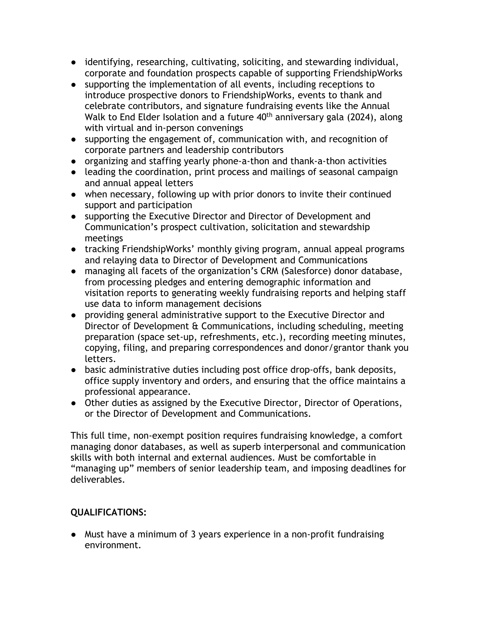- identifying, researching, cultivating, soliciting, and stewarding individual, corporate and foundation prospects capable of supporting FriendshipWorks
- supporting the implementation of all events, including receptions to introduce prospective donors to FriendshipWorks, events to thank and celebrate contributors, and signature fundraising events like the Annual Walk to End Elder Isolation and a future 40<sup>th</sup> anniversary gala (2024), along with virtual and in-person convenings
- supporting the engagement of, communication with, and recognition of corporate partners and leadership contributors
- organizing and staffing yearly phone-a-thon and thank-a-thon activities
- leading the coordination, print process and mailings of seasonal campaign and annual appeal letters
- when necessary, following up with prior donors to invite their continued support and participation
- supporting the Executive Director and Director of Development and Communication's prospect cultivation, solicitation and stewardship meetings
- tracking FriendshipWorks' monthly giving program, annual appeal programs and relaying data to Director of Development and Communications
- managing all facets of the organization's CRM (Salesforce) donor database, from processing pledges and entering demographic information and visitation reports to generating weekly fundraising reports and helping staff use data to inform management decisions
- providing general administrative support to the Executive Director and Director of Development & Communications, including scheduling, meeting preparation (space set-up, refreshments, etc.), recording meeting minutes, copying, filing, and preparing correspondences and donor/grantor thank you letters.
- basic administrative duties including post office drop-offs, bank deposits, office supply inventory and orders, and ensuring that the office maintains a professional appearance.
- Other duties as assigned by the Executive Director, Director of Operations, or the Director of Development and Communications.

This full time, non-exempt position requires fundraising knowledge, a comfort managing donor databases, as well as superb interpersonal and communication skills with both internal and external audiences. Must be comfortable in "managing up" members of senior leadership team, and imposing deadlines for deliverables.

# **QUALIFICATIONS:**

● Must have a minimum of 3 years experience in a non-profit fundraising environment.